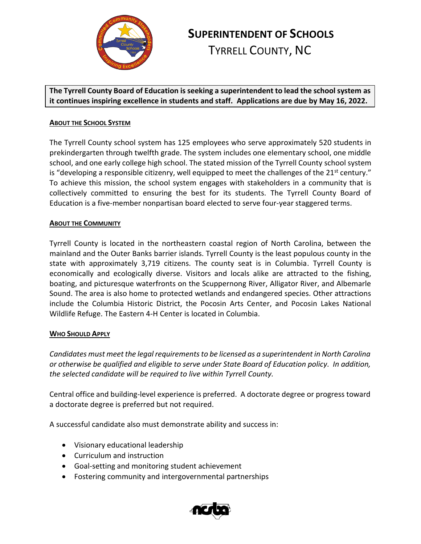

# **SUPERINTENDENT OF SCHOOLS**

TYRRELL COUNTY, NC

**The Tyrrell County Board of Education is seeking a superintendent to lead the school system as it continues inspiring excellence in students and staff. Applications are due by May 16, 2022.**

## **ABOUT THE SCHOOL SYSTEM**

The Tyrrell County school system has 125 employees who serve approximately 520 students in prekindergarten through twelfth grade. The system includes one elementary school, one middle school, and one early college high school. The stated mission of the Tyrrell County school system is "developing a responsible citizenry, well equipped to meet the challenges of the  $21^{st}$  century." To achieve this mission, the school system engages with stakeholders in a community that is collectively committed to ensuring the best for its students. The Tyrrell County Board of Education is a five-member nonpartisan board elected to serve four-year staggered terms.

## **ABOUT THE COMMUNITY**

Tyrrell County is located in the northeastern coastal region of North Carolina, between the mainland and the Outer Banks barrier islands. Tyrrell County is the least populous county in the state with approximately 3,719 citizens. The county seat is in Columbia. Tyrrell County is economically and ecologically diverse. Visitors and locals alike are attracted to the fishing, boating, and picturesque waterfronts on the Scuppernong River, Alligator River, and Albemarle Sound. The area is also home to protected wetlands and endangered species. Other attractions include the Columbia Historic District, the Pocosin Arts Center, and Pocosin Lakes National Wildlife Refuge. The Eastern 4-H Center is located in Columbia.

#### **WHO SHOULD APPLY**

*Candidates must meet the legal requirements to be licensed as a superintendent in North Carolina or otherwise be qualified and eligible to serve under State Board of Education policy. In addition, the selected candidate will be required to live within Tyrrell County.*

Central office and building-level experience is preferred. A doctorate degree or progress toward a doctorate degree is preferred but not required.

A successful candidate also must demonstrate ability and success in:

- Visionary educational leadership
- Curriculum and instruction
- Goal-setting and monitoring student achievement
- Fostering community and intergovernmental partnerships